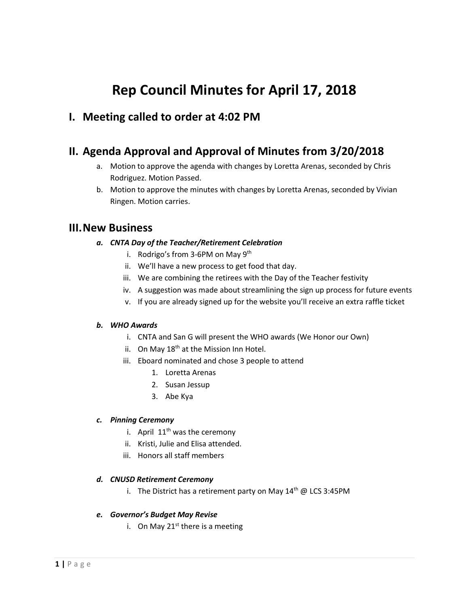# **Rep Council Minutes for April 17, 2018**

# **I. Meeting called to order at 4:02 PM**

# **II. Agenda Approval and Approval of Minutes from 3/20/2018**

- a. Motion to approve the agenda with changes by Loretta Arenas, seconded by Chris Rodriguez. Motion Passed.
- b. Motion to approve the minutes with changes by Loretta Arenas, seconded by Vivian Ringen. Motion carries.

# **III.New Business**

- *a. CNTA Day of the Teacher/Retirement Celebration*
	- i. Rodrigo's from 3-6PM on May  $9<sup>th</sup>$
	- ii. We'll have a new process to get food that day.
	- iii. We are combining the retirees with the Day of the Teacher festivity
	- iv. A suggestion was made about streamlining the sign up process for future events
	- v. If you are already signed up for the website you'll receive an extra raffle ticket

### *b. WHO Awards*

- i. CNTA and San G will present the WHO awards (We Honor our Own)
- ii. On May  $18<sup>th</sup>$  at the Mission Inn Hotel.
- iii. Eboard nominated and chose 3 people to attend
	- 1. Loretta Arenas
	- 2. Susan Jessup
	- 3. Abe Kya

#### *c. Pinning Ceremony*

- i. April  $11<sup>th</sup>$  was the ceremony
- ii. Kristi, Julie and Elisa attended.
- iii. Honors all staff members

#### *d. CNUSD Retirement Ceremony*

i. The District has a retirement party on May  $14<sup>th</sup>$  @ LCS 3:45PM

#### *e. Governor's Budget May Revise*

i. On May  $21^{st}$  there is a meeting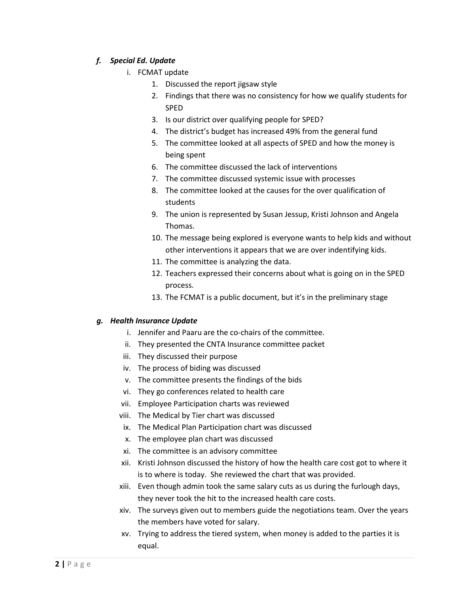### *f. Special Ed. Update*

- i. FCMAT update
	- 1. Discussed the report jigsaw style
	- 2. Findings that there was no consistency for how we qualify students for SPED
	- 3. Is our district over qualifying people for SPED?
	- 4. The district's budget has increased 49% from the general fund
	- 5. The committee looked at all aspects of SPED and how the money is being spent
	- 6. The committee discussed the lack of interventions
	- 7. The committee discussed systemic issue with processes
	- 8. The committee looked at the causes for the over qualification of students
	- 9. The union is represented by Susan Jessup, Kristi Johnson and Angela Thomas.
	- 10. The message being explored is everyone wants to help kids and without other interventions it appears that we are over indentifying kids.
	- 11. The committee is analyzing the data.
	- 12. Teachers expressed their concerns about what is going on in the SPED process.
	- 13. The FCMAT is a public document, but it's in the preliminary stage

### *g. Health Insurance Update*

- i. Jennifer and Paaru are the co-chairs of the committee.
- ii. They presented the CNTA Insurance committee packet
- iii. They discussed their purpose
- iv. The process of biding was discussed
- v. The committee presents the findings of the bids
- vi. They go conferences related to health care
- vii. Employee Participation charts was reviewed
- viii. The Medical by Tier chart was discussed
- ix. The Medical Plan Participation chart was discussed
- x. The employee plan chart was discussed
- xi. The committee is an advisory committee
- xii. Kristi Johnson discussed the history of how the health care cost got to where it is to where is today. She reviewed the chart that was provided.
- xiii. Even though admin took the same salary cuts as us during the furlough days, they never took the hit to the increased health care costs.
- xiv. The surveys given out to members guide the negotiations team. Over the years the members have voted for salary.
- xv. Trying to address the tiered system, when money is added to the parties it is equal.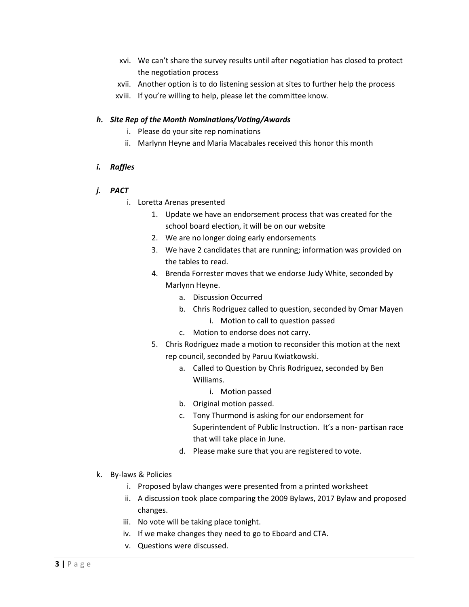- xvi. We can't share the survey results until after negotiation has closed to protect the negotiation process
- xvii. Another option is to do listening session at sites to further help the process
- xviii. If you're willing to help, please let the committee know.

### *h. Site Rep of the Month Nominations/Voting/Awards*

- i. Please do your site rep nominations
- ii. Marlynn Heyne and Maria Macabales received this honor this month

### *i. Raffles*

- *j. PACT*
	- i. Loretta Arenas presented
		- 1. Update we have an endorsement process that was created for the school board election, it will be on our website
		- 2. We are no longer doing early endorsements
		- 3. We have 2 candidates that are running; information was provided on the tables to read.
		- 4. Brenda Forrester moves that we endorse Judy White, seconded by Marlynn Heyne.
			- a. Discussion Occurred
			- b. Chris Rodriguez called to question, seconded by Omar Mayen
				- i. Motion to call to question passed
			- c. Motion to endorse does not carry.
		- 5. Chris Rodriguez made a motion to reconsider this motion at the next rep council, seconded by Paruu Kwiatkowski.
			- a. Called to Question by Chris Rodriguez, seconded by Ben Williams.
				- i. Motion passed
			- b. Original motion passed.
			- c. Tony Thurmond is asking for our endorsement for Superintendent of Public Instruction. It's a non- partisan race that will take place in June.
			- d. Please make sure that you are registered to vote.
- k. By-laws & Policies
	- i. Proposed bylaw changes were presented from a printed worksheet
	- ii. A discussion took place comparing the 2009 Bylaws, 2017 Bylaw and proposed changes.
	- iii. No vote will be taking place tonight.
	- iv. If we make changes they need to go to Eboard and CTA.
	- v. Questions were discussed.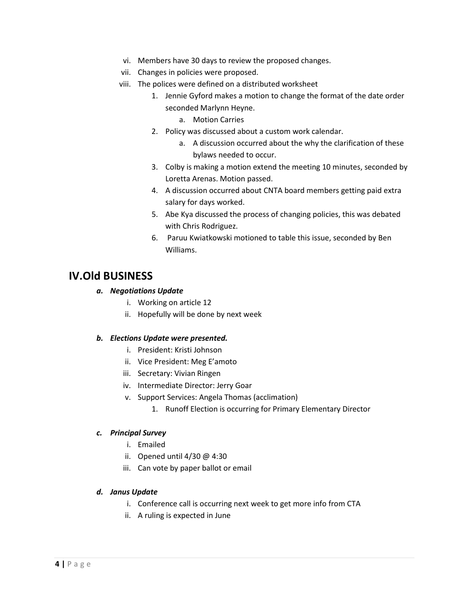- vi. Members have 30 days to review the proposed changes.
- vii. Changes in policies were proposed.
- viii. The polices were defined on a distributed worksheet
	- 1. Jennie Gyford makes a motion to change the format of the date order seconded Marlynn Heyne.
		- a. Motion Carries
	- 2. Policy was discussed about a custom work calendar.
		- a. A discussion occurred about the why the clarification of these bylaws needed to occur.
	- 3. Colby is making a motion extend the meeting 10 minutes, seconded by Loretta Arenas. Motion passed.
	- 4. A discussion occurred about CNTA board members getting paid extra salary for days worked.
	- 5. Abe Kya discussed the process of changing policies, this was debated with Chris Rodriguez.
	- 6. Paruu Kwiatkowski motioned to table this issue, seconded by Ben Williams.

# **IV.Old BUSINESS**

### *a. Negotiations Update*

- i. Working on article 12
- ii. Hopefully will be done by next week

#### *b. Elections Update were presented.*

- i. President: Kristi Johnson
- ii. Vice President: Meg E'amoto
- iii. Secretary: Vivian Ringen
- iv. Intermediate Director: Jerry Goar
- v. Support Services: Angela Thomas (acclimation)
	- 1. Runoff Election is occurring for Primary Elementary Director

#### *c. Principal Survey*

- i. Emailed
- ii. Opened until 4/30 @ 4:30
- iii. Can vote by paper ballot or email

### *d. Janus Update*

- i. Conference call is occurring next week to get more info from CTA
- ii. A ruling is expected in June